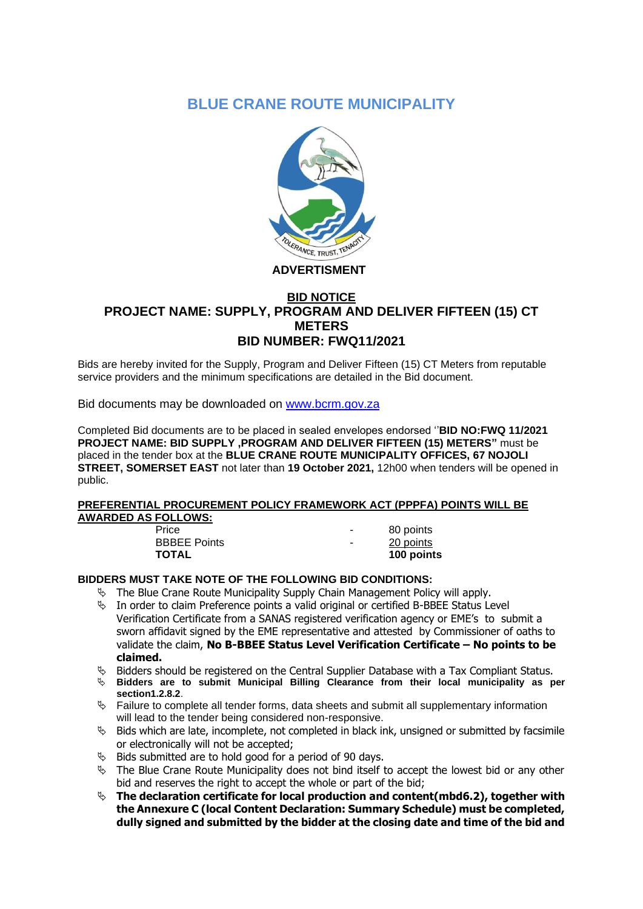# **BLUE CRANE ROUTE MUNICIPALITY**



## **ADVERTISMENT**

## **BID NOTICE PROJECT NAME: SUPPLY, PROGRAM AND DELIVER FIFTEEN (15) CT METERS BID NUMBER: FWQ11/2021**

Bids are hereby invited for the Supply, Program and Deliver Fifteen (15) CT Meters from reputable service providers and the minimum specifications are detailed in the Bid document.

Bid documents may be downloaded on [www.bcrm.gov.za](http://www.bcrm.gov.za/)

Completed Bid documents are to be placed in sealed envelopes endorsed ''**BID NO:FWQ 11/2021 PROJECT NAME: BID SUPPLY ,PROGRAM AND DELIVER FIFTEEN (15) METERS"** must be placed in the tender box at the **BLUE CRANE ROUTE MUNICIPALITY OFFICES, 67 NOJOLI STREET, SOMERSET EAST** not later than **19 October 2021,** 12h00 when tenders will be opened in public.

### **PREFERENTIAL PROCUREMENT POLICY FRAMEWORK ACT (PPPFA) POINTS WILL BE AWARDED AS FOLLOWS:**

Price 80 points BBBEE Points **BBBEE** Points **TOTAL 100 points**

### **BIDDERS MUST TAKE NOTE OF THE FOLLOWING BID CONDITIONS:**

- $\%$  The Blue Crane Route Municipality Supply Chain Management Policy will apply.
- $\%$  In order to claim Preference points a valid original or certified B-BBEE Status Level Verification Certificate from a SANAS registered verification agency or EME's to submit a sworn affidavit signed by the EME representative and attested by Commissioner of oaths to validate the claim, **No B-BBEE Status Level Verification Certificate – No points to be claimed.**
- $\&$  Bidders should be registered on the Central Supplier Database with a Tax Compliant Status.
- **Bidders are to submit Municipal Billing Clearance from their local municipality as per section1.2.8.2**.
- $\%$  Failure to complete all tender forms, data sheets and submit all supplementary information will lead to the tender being considered non-responsive.
- $\%$  Bids which are late, incomplete, not completed in black ink, unsigned or submitted by facsimile or electronically will not be accepted;
- $\%$  Bids submitted are to hold good for a period of 90 days.
- $\%$  The Blue Crane Route Municipality does not bind itself to accept the lowest bid or any other bid and reserves the right to accept the whole or part of the bid;
- **The declaration certificate for local production and content(mbd6.2), together with the Annexure C (local Content Declaration: Summary Schedule) must be completed, dully signed and submitted by the bidder at the closing date and time of the bid and**